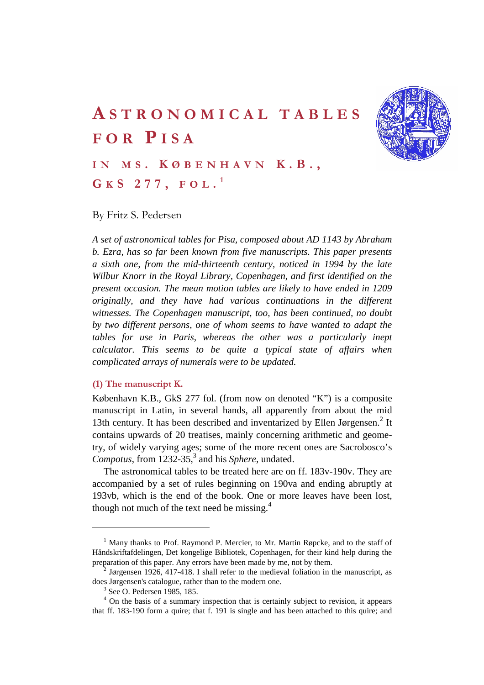

# **A STRONOMICAL TABLES FOR P ISA**

**I N M S . K ØBENHAVN K.B., G K S 277, FOL . <sup>1</sup>**

# By Fritz S. Pedersen

*A set of astronomical tables for Pisa, composed about AD 1143 by Abraham b. Ezra, has so far been known from five manuscripts. This paper presents a sixth one, from the mid-thirteenth century, noticed in 1994 by the late Wilbur Knorr in the Royal Library, Copenhagen, and first identified on the present occasion. The mean motion tables are likely to have ended in 1209 originally, and they have had various continuations in the different witnesses. The Copenhagen manuscript, too, has been continued, no doubt by two different persons, one of whom seems to have wanted to adapt the tables for use in Paris, whereas the other was a particularly inept calculator. This seems to be quite a typical state of affairs when complicated arrays of numerals were to be updated.* 

## **(1) The manuscript K.**

København K.B., GkS 277 fol. (from now on denoted "K") is a composite manuscript in Latin, in several hands, all apparently from about the mid 13th century. It has been described and inventarized by Ellen Jørgensen.<sup>2</sup> It contains upwards of 20 treatises, mainly concerning arithmetic and geometry, of widely varying ages; some of the more recent ones are Sacrobosco's Compotus, from 1232-35,<sup>3</sup> and his *Sphere*, undated.

The astronomical tables to be treated here are on ff. 183v-190v. They are accompanied by a set of rules beginning on 190va and ending abruptly at 193vb, which is the end of the book. One or more leaves have been lost, though not much of the text need be missing. $4$ 

<sup>&</sup>lt;sup>1</sup> Many thanks to Prof. Raymond P. Mercier, to Mr. Martin Røpcke, and to the staff of Håndskriftafdelingen, Det kongelige Bibliotek, Copenhagen, for their kind help during the preparation of this paper. Any errors have been made by me, not by them. 2

 $\frac{1}{2}$  Jørgensen 1926, 417-418. I shall refer to the medieval foliation in the manuscript, as does Jørgensen's catalogue, rather than to the modern one.

<sup>&</sup>lt;sup>3</sup> See O. Pedersen 1985, 185.

<sup>&</sup>lt;sup>4</sup> On the basis of a summary inspection that is certainly subject to revision, it appears that ff. 183-190 form a quire; that f. 191 is single and has been attached to this quire; and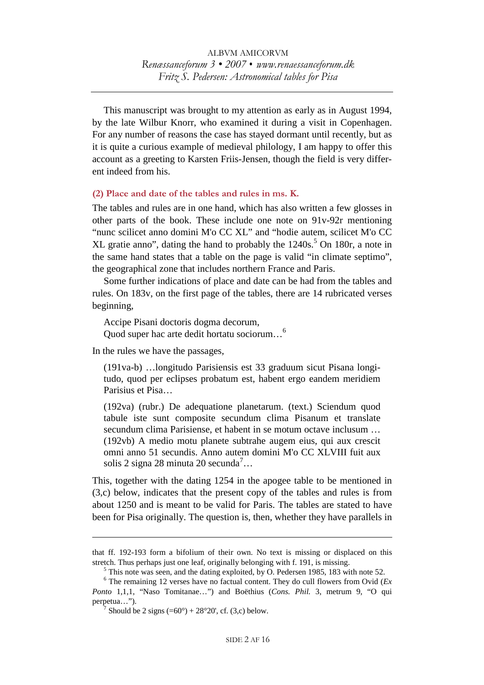This manuscript was brought to my attention as early as in August 1994, by the late Wilbur Knorr, who examined it during a visit in Copenhagen. For any number of reasons the case has stayed dormant until recently, but as it is quite a curious example of medieval philology, I am happy to offer this account as a greeting to Karsten Friis-Jensen, though the field is very different indeed from his.

**(2) Place and date of the tables and rules in ms. K.** 

The tables and rules are in one hand, which has also written a few glosses in other parts of the book. These include one note on 91v-92r mentioning "nunc scilicet anno domini M'o CC XL" and "hodie autem, scilicet M'o CC XL gratie anno", dating the hand to probably the  $1240s$ .<sup>5</sup> On 180r, a note in the same hand states that a table on the page is valid "in climate septimo", the geographical zone that includes northern France and Paris.

Some further indications of place and date can be had from the tables and rules. On 183v, on the first page of the tables, there are 14 rubricated verses beginning,

Accipe Pisani doctoris dogma decorum, Quod super hac arte dedit hortatu sociorum…6

In the rules we have the passages,

 $\overline{a}$ 

(191va-b) …longitudo Parisiensis est 33 graduum sicut Pisana longitudo, quod per eclipses probatum est, habent ergo eandem meridiem Parisius et Pisa…

(192va) (rubr.) De adequatione planetarum. (text.) Sciendum quod tabule iste sunt composite secundum clima Pisanum et translate secundum clima Parisiense, et habent in se motum octave inclusum … (192vb) A medio motu planete subtrahe augem eius, qui aux crescit omni anno 51 secundis. Anno autem domini M'o CC XLVIII fuit aux solis 2 signa 28 minuta 20 secunda<sup>7</sup>...

This, together with the dating 1254 in the apogee table to be mentioned in (3,c) below, indicates that the present copy of the tables and rules is from about 1250 and is meant to be valid for Paris. The tables are stated to have been for Pisa originally. The question is, then, whether they have parallels in

that ff. 192-193 form a bifolium of their own. No text is missing or displaced on this stretch. Thus perhaps just one leaf, originally belonging with f. 191, is missing.

 $5$  This note was seen, and the dating exploited, by O. Pedersen 1985, 183 with note 52.

 $6$  The remaining 12 verses have no factual content. They do cull flowers from Ovid ( $Ex$ ) *Ponto* 1,1,1, "Naso Tomitanae…") and Boëthius (*Cons. Phil.* 3, metrum 9, "O qui perpetua...").

 $\sqrt{7}$  Should be 2 signs (=60°) + 28°20', cf. (3,c) below.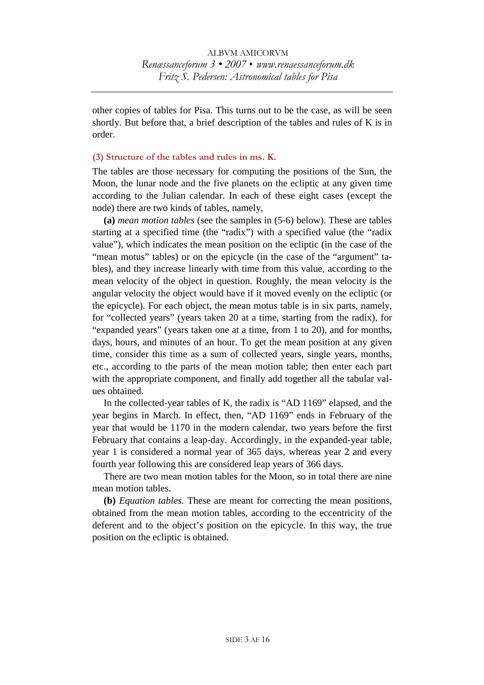other copies of tables for Pisa. This turns out to be the case, as will be seen shortly. But before that, a brief description of the tables and rules of K is in order.

# **(3) Structure of the tables and rules in ms. K.**

The tables are those necessary for computing the positions of the Sun, the Moon, the lunar node and the five planets on the ecliptic at any given time according to the Julian calendar. In each of these eight cases (except the node) there are two kinds of tables, namely,

**(a)** *mean motion tables* (see the samples in (5-6) below). These are tables starting at a specified time (the "radix") with a specified value (the "radix value"), which indicates the mean position on the ecliptic (in the case of the "mean motus" tables) or on the epicycle (in the case of the "argument" tables), and they increase linearly with time from this value, according to the mean velocity of the object in question. Roughly, the mean velocity is the angular velocity the object would have if it moved evenly on the ecliptic (or the epicycle). For each object, the mean motus table is in six parts, namely, for "collected years" (years taken 20 at a time, starting from the radix), for "expanded years" (years taken one at a time, from 1 to 20), and for months, days, hours, and minutes of an hour. To get the mean position at any given time, consider this time as a sum of collected years, single years, months, etc., according to the parts of the mean motion table; then enter each part with the appropriate component, and finally add together all the tabular values obtained.

In the collected-year tables of K, the radix is "AD 1169" elapsed, and the year begins in March. In effect, then, "AD 1169" ends in February of the year that would be 1170 in the modern calendar, two years before the first February that contains a leap-day. Accordingly, in the expanded-year table, year 1 is considered a normal year of 365 days, whereas year 2 and every fourth year following this are considered leap years of 366 days.

There are two mean motion tables for the Moon, so in total there are nine mean motion tables.

**(b)** *Equation tables.* These are meant for correcting the mean positions, obtained from the mean motion tables, according to the eccentricity of the deferent and to the object's position on the epicycle. In this way, the true position on the ecliptic is obtained.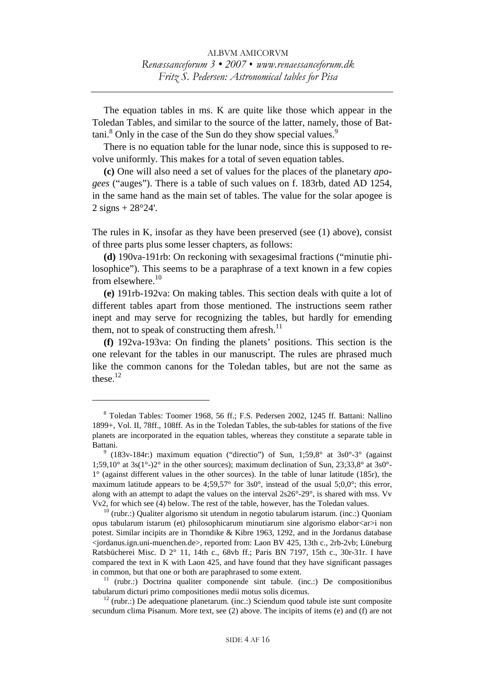The equation tables in ms. K are quite like those which appear in the Toledan Tables, and similar to the source of the latter, namely, those of Battani.<sup>8</sup> Only in the case of the Sun do they show special values.<sup>9</sup>

There is no equation table for the lunar node, since this is supposed to revolve uniformly. This makes for a total of seven equation tables.

**(c)** One will also need a set of values for the places of the planetary *apogees* ("auges"). There is a table of such values on f. 183rb, dated AD 1254, in the same hand as the main set of tables. The value for the solar apogee is  $2$  signs  $+ 28^{\circ}24'$ .

The rules in K, insofar as they have been preserved (see (1) above), consist of three parts plus some lesser chapters, as follows:

**(d)** 190va-191rb: On reckoning with sexagesimal fractions ("minutie philosophice"). This seems to be a paraphrase of a text known in a few copies from elsewhere. $10$ 

**(e)** 191rb-192va: On making tables. This section deals with quite a lot of different tables apart from those mentioned. The instructions seem rather inept and may serve for recognizing the tables, but hardly for emending them, not to speak of constructing them afresh. $^{11}$ 

**(f)** 192va-193va: On finding the planets' positions. This section is the one relevant for the tables in our manuscript. The rules are phrased much like the common canons for the Toledan tables, but are not the same as these. $12$ 

<sup>8</sup> Toledan Tables: Toomer 1968, 56 ff.; F.S. Pedersen 2002, 1245 ff. Battani: Nallino 1899+, Vol. II, 78ff., 108ff. As in the Toledan Tables, the sub-tables for stations of the five planets are incorporated in the equation tables, whereas they constitute a separate table in Battani.

 $9$  (183v-184r:) maximum equation ("directio") of Sun, 1;59,8° at 3s0°-3° (against 1;59,10° at 3s(1°-)2° in the other sources); maximum declination of Sun, 23;33,8° at 3s0°-1° (against different values in the other sources). In the table of lunar latitude (185r), the maximum latitude appears to be 4;59,57 $^{\circ}$  for 3s0 $^{\circ}$ , instead of the usual 5;0,0 $^{\circ}$ ; this error, along with an attempt to adapt the values on the interval  $2s26^{\circ}-29^{\circ}$ , is shared with mss. Vv V $v2$ , for which see (4) below. The rest of the table, however, has the Toledan values.

 $^{10}$  (rubr.:) Qualiter algorismo sit utendum in negotio tabularum istarum. (inc.:) Quoniam opus tabularum istarum (et) philosophicarum minutiarum sine algorismo elabor<ar>i non potest. Similar incipits are in Thorndike & Kibre 1963, 1292, and in the Jordanus database <jordanus.ign.uni-muenchen.de>, reported from: Laon BV 425, 13th c., 2rb-2vb; Lüneburg Ratsbücherei Misc. D 2° 11, 14th c., 68vb ff.; Paris BN 7197, 15th c., 30r-31r. I have compared the text in K with Laon 425, and have found that they have significant passages in common, but that one or both are paraphrased to some extent.<br><sup>11</sup> (rubr.:) Doctrina qualiter componende sint tabule. (inc.:) De compositionibus

tabularum dicturi primo compositiones medii motus solis dicemus. 12 (rubr.:) De adequatione planetarum. (inc.:) Sciendum quod tabule iste sunt composite

secundum clima Pisanum. More text, see (2) above. The incipits of items (e) and (f) are not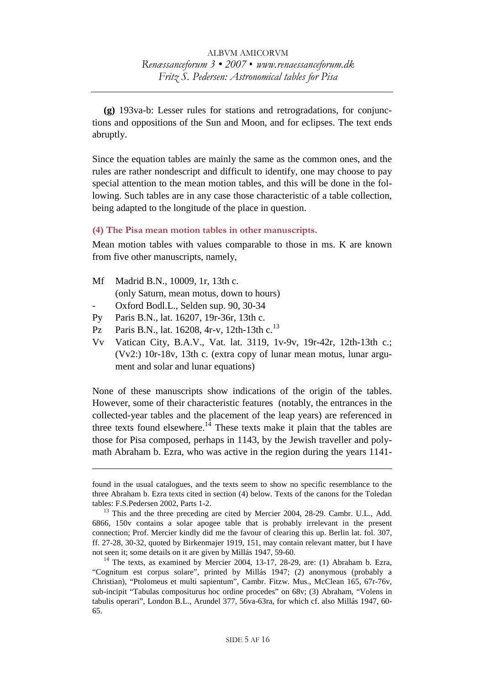**(g)** 193va-b: Lesser rules for stations and retrogradations, for conjunctions and oppositions of the Sun and Moon, and for eclipses. The text ends abruptly.

Since the equation tables are mainly the same as the common ones, and the rules are rather nondescript and difficult to identify, one may choose to pay special attention to the mean motion tables, and this will be done in the following. Such tables are in any case those characteristic of a table collection, being adapted to the longitude of the place in question.

## **(4) The Pisa mean motion tables in other manuscripts.**

Mean motion tables with values comparable to those in ms. K are known from five other manuscripts, namely,

- Mf Madrid B.N., 10009, 1r, 13th c. (only Saturn, mean motus, down to hours)
- Oxford Bodl.L., Selden sup. 90, 30-34
- Py Paris B.N., lat. 16207, 19r-36r, 13th c.

 $\overline{a}$ 

- Pz Paris B.N., lat. 16208, 4r-v, 12th-13th c.<sup>13</sup>
- Vv Vatican City, B.A.V., Vat. lat. 3119, 1v-9v, 19r-42r, 12th-13th c.; (Vv2:) 10r-18v, 13th c. (extra copy of lunar mean motus, lunar argument and solar and lunar equations)

None of these manuscripts show indications of the origin of the tables. However, some of their characteristic features (notably, the entrances in the collected-year tables and the placement of the leap years) are referenced in three texts found elsewhere.<sup>14</sup> These texts make it plain that the tables are those for Pisa composed, perhaps in 1143, by the Jewish traveller and polymath Abraham b. Ezra, who was active in the region during the years 1141-

found in the usual catalogues, and the texts seem to show no specific resemblance to the three Abraham b. Ezra texts cited in section (4) below. Texts of the canons for the Toledan tables: F.S.Pedersen 2002, Parts 1-2.<br><sup>13</sup> This and the three preceding are cited by Mercier 2004, 28-29. Cambr. U.L., Add.

<sup>6866, 150</sup>v contains a solar apogee table that is probably irrelevant in the present connection; Prof. Mercier kindly did me the favour of clearing this up. Berlin lat. fol. 307, ff. 27-28, 30-32, quoted by Birkenmajer 1919, 151, may contain relevant matter, but I have

not seen it; some details on it are given by Millás 1947, 59-60.<br><sup>14</sup> The texts, as examined by Mercier 2004, 13-17, 28-29, are: (1) Abraham b. Ezra, "Cognitum est corpus solare", printed by Millás 1947; (2) anonymous (probably a Christian), "Ptolomeus et multi sapientum", Cambr. Fitzw. Mus., McClean 165, 67r-76v, sub-incipit "Tabulas compositurus hoc ordine procedes" on 68v; (3) Abraham, "Volens in tabulis operari", London B.L., Arundel 377, 56va-63ra, for which cf. also Millás 1947, 60- 65.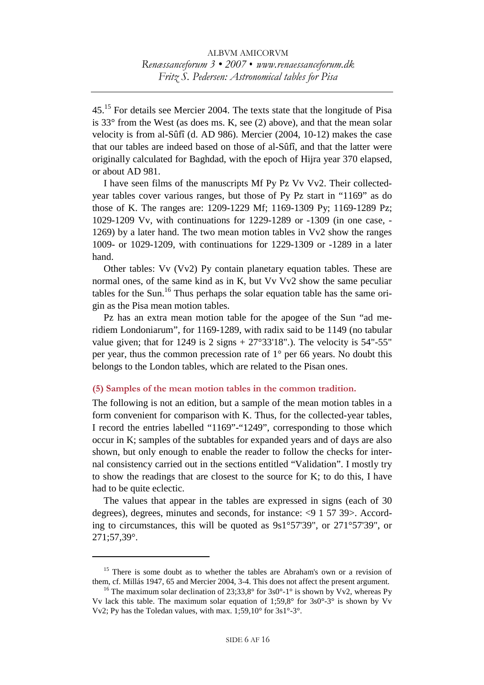45.15 For details see Mercier 2004. The texts state that the longitude of Pisa is 33° from the West (as does ms. K, see (2) above), and that the mean solar velocity is from al-Sûfî (d. AD 986). Mercier (2004, 10-12) makes the case that our tables are indeed based on those of al-Sûfî, and that the latter were originally calculated for Baghdad, with the epoch of Hijra year 370 elapsed, or about AD 981.

I have seen films of the manuscripts Mf Py Pz Vv Vv2. Their collectedyear tables cover various ranges, but those of Py Pz start in "1169" as do those of K. The ranges are: 1209-1229 Mf; 1169-1309 Py; 1169-1289 Pz; 1029-1209 Vv, with continuations for 1229-1289 or -1309 (in one case, - 1269) by a later hand. The two mean motion tables in Vv2 show the ranges 1009- or 1029-1209, with continuations for 1229-1309 or -1289 in a later hand.

Other tables: Vv (Vv2) Py contain planetary equation tables. These are normal ones, of the same kind as in K, but Vv Vv2 show the same peculiar tables for the Sun.<sup>16</sup> Thus perhaps the solar equation table has the same origin as the Pisa mean motion tables.

Pz has an extra mean motion table for the apogee of the Sun "ad meridiem Londoniarum", for 1169-1289, with radix said to be 1149 (no tabular value given; that for 1249 is 2 signs  $+ 27^{\circ}33'18"$ .). The velocity is 54"-55" per year, thus the common precession rate of 1° per 66 years. No doubt this belongs to the London tables, which are related to the Pisan ones.

## **(5) Samples of the mean motion tables in the common tradition.**

The following is not an edition, but a sample of the mean motion tables in a form convenient for comparison with K. Thus, for the collected-year tables, I record the entries labelled "1169"-"1249", corresponding to those which occur in K; samples of the subtables for expanded years and of days are also shown, but only enough to enable the reader to follow the checks for internal consistency carried out in the sections entitled "Validation". I mostly try to show the readings that are closest to the source for K; to do this, I have had to be quite eclectic.

The values that appear in the tables are expressed in signs (each of 30 degrees), degrees, minutes and seconds, for instance:  $\langle 9 \ 1 \ 57 \ 39 \rangle$ . According to circumstances, this will be quoted as 9s1°57'39", or 271°57'39", or 271;57,39°.

<sup>&</sup>lt;sup>15</sup> There is some doubt as to whether the tables are Abraham's own or a revision of them, cf. Millás 1947, 65 and Mercier 2004, 3-4. This does not affect the present argument.<br><sup>16</sup> The maximum solar declination of 23;33,8° for 3s0°-1° is shown by Vv2, whereas Py

Vv lack this table. The maximum solar equation of  $1:59.8^{\circ}$  for  $3s0^{\circ}$ -3° is shown by Vv Vv2; Py has the Toledan values, with max.  $1:59,10^{\circ}$  for  $3s1^{\circ}$ -3°.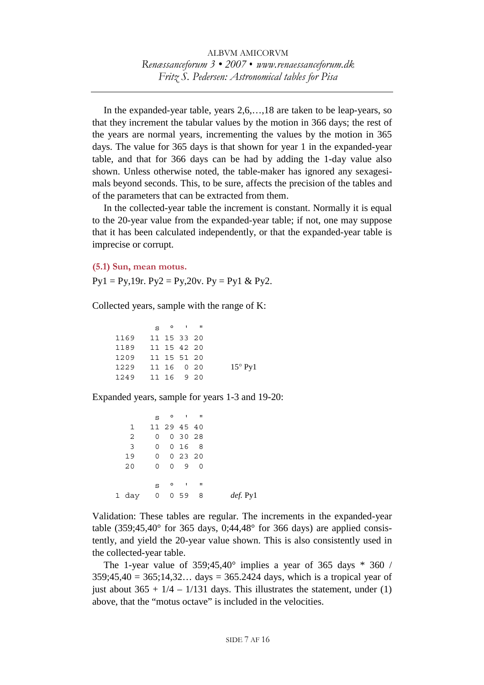In the expanded-year table, years 2,6,…,18 are taken to be leap-years, so that they increment the tabular values by the motion in 366 days; the rest of the years are normal years, incrementing the values by the motion in 365 days. The value for 365 days is that shown for year 1 in the expanded-year table, and that for 366 days can be had by adding the 1-day value also shown. Unless otherwise noted, the table-maker has ignored any sexagesimals beyond seconds. This, to be sure, affects the precision of the tables and of the parameters that can be extracted from them.

In the collected-year table the increment is constant. Normally it is equal to the 20-year value from the expanded-year table; if not, one may suppose that it has been calculated independently, or that the expanded-year table is imprecise or corrupt.

**(5.1) Sun, mean motus.** 

 $Py1 = Py,19r. Py2 = Py,20v. Py = Py1 & Py2.$ 

Collected years, sample with the range of K:

 $S^{\circ}$  ' " 1169 11 15 33 20 1189 11 15 42 20 1209 11 15 51 20 1229 11 16 0 20 15° Py 1 1249 11 16 9 20

Expanded years, sample for years 1-3 and 19-20:

|              |                |          | $S^{\circ}$ o i ii  |   |          |
|--------------|----------------|----------|---------------------|---|----------|
| $\mathbf{1}$ |                |          | 11 29 45 40         |   |          |
| 2            | 0              |          | 0, 30, 28           |   |          |
| 3            | 0              |          | 0168                |   |          |
| 19           | $\overline{0}$ |          | 0, 23, 20           |   |          |
| 20           | 0              | $\Omega$ | 90                  |   |          |
|              |                |          |                     |   |          |
|              | S              |          | $0 \quad 1 \quad 1$ |   |          |
| 1 day        | $\overline{0}$ |          | 0,59                | 8 | def. Py1 |
|              |                |          |                     |   |          |

Validation: These tables are regular. The increments in the expanded-year table  $(359;45,40^{\circ}$  for 365 days, 0;44,48 $^{\circ}$  for 366 days) are applied consistently, and yield the 20-year value shown. This is also consistently used in the collected-year table.

The 1-year value of  $359;45,40^{\circ}$  implies a year of 365 days  $*$  360 /  $359:45.40 = 365:14.32...$  days =  $365.2424$  days, which is a tropical year of just about  $365 + 1/4 - 1/131$  days. This illustrates the statement, under (1) above, that the "motus octave" is included in the velocities.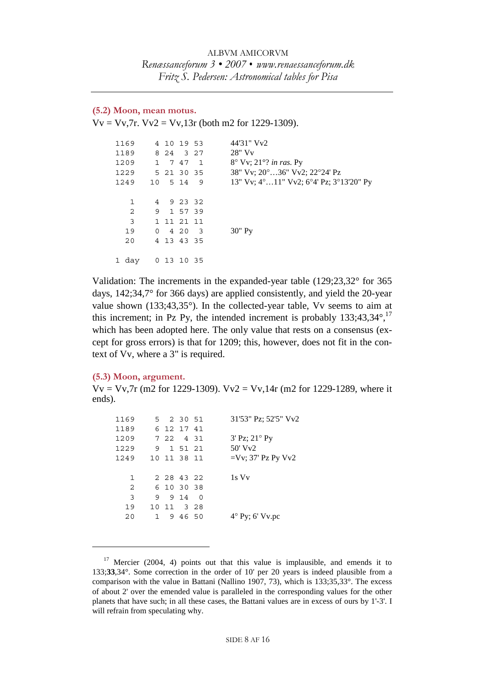## **(5.2) Moon, mean motus.**

 $Vv = Vv$ ,  $7r$ .  $Vv2 = Vv$ ,  $13r$  (both m2 for 1229-1309).

| 1169  | 4 10 19 53    |  | 44'31" Vy2                                                           |
|-------|---------------|--|----------------------------------------------------------------------|
| 1189  | 8 24 3 27     |  | $28"$ V <sub>v</sub>                                                 |
| 1209  | 1 7 47 1      |  | $8^\circ$ Vv; 21 $^\circ$ ? in ras. Py                               |
| 1229  | 5 21 30 35    |  | 38" Vv; 20°36" Vv2; 22°24' Pz                                        |
| 1249  | 10 5 14 9     |  | 13" Vv; $4^{\circ}$ 11" Vv2; $6^{\circ}4'$ Pz; $3^{\circ}13'20''$ Py |
|       |               |  |                                                                      |
| 1     | 4 9 23 32     |  |                                                                      |
| 2     | 9 1 57 39     |  |                                                                      |
| 3     | 1 11 21 11    |  |                                                                      |
| 19    | $0 \t420 \t3$ |  | $30"$ Py                                                             |
| 20    | 4 13 43 35    |  |                                                                      |
|       |               |  |                                                                      |
| 1 day | 0 13 10 35    |  |                                                                      |
|       |               |  |                                                                      |

Validation: The increments in the expanded-year table (129;23,32° for 365 days, 142;34,7° for 366 days) are applied consistently, and yield the 20-year value shown (133;43,35°). In the collected-year table, Vv seems to aim at this increment; in Pz Py, the intended increment is probably  $133;43,34^{\circ},^{17}$ which has been adopted here. The only value that rests on a consensus (except for gross errors) is that for 1209; this, however, does not fit in the context of Vv, where a 3" is required.

#### **(5.3) Moon, argument.**

 $\overline{a}$ 

 $Vv = Vv$ , 7r (m2 for 1229-1309).  $Vv2 = Vv$ , 14r (m2 for 1229-1289, where it ends).

| 1169 |           | 5 2 30 51   |         | 31'53" Pz; 52'5" Vv2     |
|------|-----------|-------------|---------|--------------------------|
| 1189 |           | 6 12 17 41  |         |                          |
| 1209 |           | 7 22 4 31   |         | $3'$ Pz; $21^{\circ}$ Py |
| 1229 |           | 9 1 51 21   |         | $50'$ Vy <sub>2</sub>    |
| 1249 |           | 10 11 38 11 |         | $=$ Vv; 37' Pz Py Vv2    |
|      |           |             |         |                          |
| 1    |           | 2 28 43 22  |         | 1s Vy                    |
| 2    |           | 6 10 30 38  |         |                          |
| 3    |           | 9 9 14 0    |         |                          |
| 19   |           | 10 11 3 28  |         |                          |
| 20   | $1 \quad$ |             | 9 46 50 | $4^{\circ}$ Py; 6' Vv.pc |
|      |           |             |         |                          |

 $17$  Mercier (2004, 4) points out that this value is implausible, and emends it to 133;**33**,34°. Some correction in the order of 10' per 20 years is indeed plausible from a comparison with the value in Battani (Nallino 1907, 73), which is 133;35,33°. The excess of about 2' over the emended value is paralleled in the corresponding values for the other planets that have such; in all these cases, the Battani values are in excess of ours by 1'-3'. I will refrain from speculating why.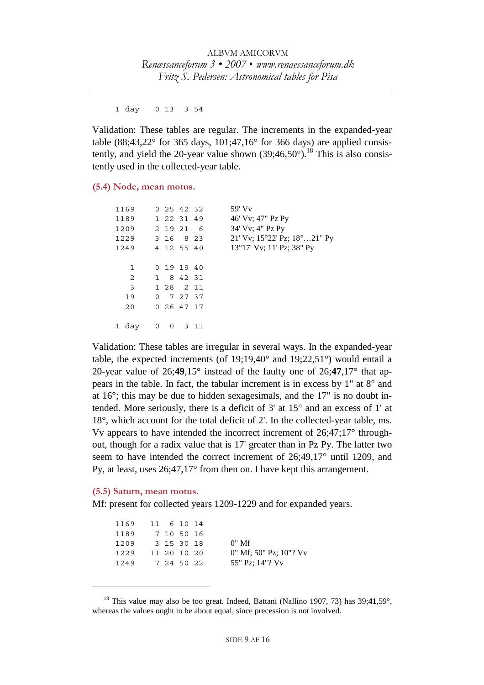1 day 0 13 3 54

Validation: These tables are regular. The increments in the expanded-year table (88;43,22 $^{\circ}$  for 365 days, 101;47,16 $^{\circ}$  for 366 days) are applied consistently, and yield the 20-year value shown  $(39;46,50^{\circ})$ .<sup>18</sup> This is also consistently used in the collected-year table.

## **(5.4) Node, mean motus.**

| 1169  |   |   | 0, 25, 42, 32        | $59'$ Vy                                        |
|-------|---|---|----------------------|-------------------------------------------------|
| 1189  |   |   | 1 22 31 49           | 46' Vv; 47" Pz Py                               |
| 1209  |   |   | 2 19 21 6            | 34' Vv; 4" Pz Py                                |
| 1229  |   |   | 3 16 8 23            | 21' Vv; $15^{\circ}22'$ Pz; $18^{\circ}21''$ Py |
| 1249  |   |   | 4 12 55 40           | 13°17' Vv; 11' Pz; 38" Py                       |
|       |   |   |                      |                                                 |
| 1     |   |   | 0 19 19 40           |                                                 |
| 2     |   |   | 1 8 42 31            |                                                 |
| 3     |   |   | 1 28 2 11            |                                                 |
| 19    |   |   | $0 \t 7 \t 27 \t 37$ |                                                 |
| 20    |   |   | 0, 26, 47, 17        |                                                 |
|       |   |   |                      |                                                 |
| 1 day | 0 | 0 | 311                  |                                                 |
|       |   |   |                      |                                                 |

Validation: These tables are irregular in several ways. In the expanded-year table, the expected increments (of  $19;19,40^{\circ}$  and  $19;22,51^{\circ}$ ) would entail a 20-year value of 26;**49**,15° instead of the faulty one of 26;**47**,17° that appears in the table. In fact, the tabular increment is in excess by 1" at 8° and at 16°; this may be due to hidden sexagesimals, and the 17" is no doubt intended. More seriously, there is a deficit of 3' at 15° and an excess of 1' at 18°, which account for the total deficit of 2'. In the collected-year table, ms. Vv appears to have intended the incorrect increment of 26;47;17° throughout, though for a radix value that is 17' greater than in Pz Py. The latter two seem to have intended the correct increment of 26;49,17° until 1209, and Py, at least, uses 26;47,17° from then on. I have kept this arrangement.

#### **(5.5) Saturn, mean motus.**

 $\overline{a}$ 

Mf: present for collected years 1209-1229 and for expanded years.

| 1169 |  | 11 6 10 14  |                           |
|------|--|-------------|---------------------------|
| 1189 |  | 7 10 50 16  |                           |
| 1209 |  | 3 15 30 18  | $0"$ Mf                   |
| 1229 |  | 11 20 10 20 | $0''$ Mf; 50" Pz; 10"? Vv |
| 1249 |  | 7 24 50 22  | 55" Pz; 14"? Vv           |
|      |  |             |                           |

<sup>18</sup> This value may also be too great. Indeed, Battani (Nallino 1907, 73) has 39;**41**,59°, whereas the values ought to be about equal, since precession is not involved.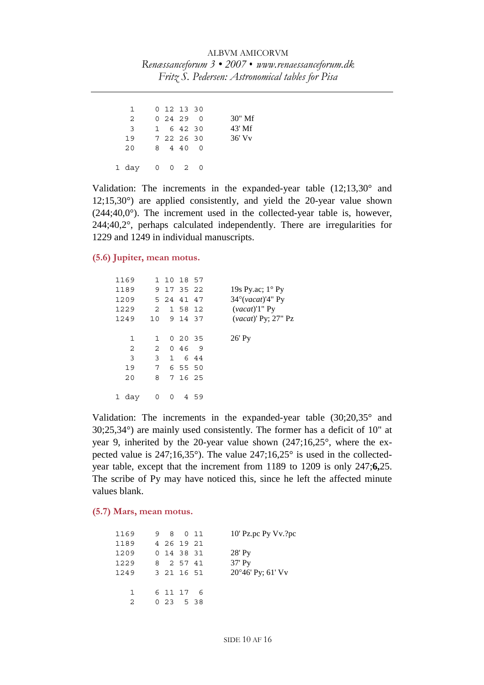| 1             | 0 12 13 30   |  |          |
|---------------|--------------|--|----------|
| 2             | 0, 24, 29, 0 |  | $30"$ Mf |
| $\mathcal{F}$ | 1 6 42 30    |  | $43'$ Mf |
| 19            | 7 22 26 30   |  | $36'$ Vy |
| 20            | 8 4 4 0 0    |  |          |
| 1 day 0 0 2 0 |              |  |          |

Validation: The increments in the expanded-year table  $(12;13,30^{\circ})$  and 12;15,30°) are applied consistently, and yield the 20-year value shown  $(244; 40, 0^{\circ})$ . The increment used in the collected-year table is, however, 244;40,2°, perhaps calculated independently. There are irregularities for 1229 and 1249 in individual manuscripts.

# **(5.6) Jupiter, mean motus.**

| 1169           |                 | 1 10 18 57 |           |     |                                     |
|----------------|-----------------|------------|-----------|-----|-------------------------------------|
| 1189           |                 | 9 17 35 22 |           |     | 19s Py.ac; $1^{\circ}$ Py           |
| 1209           |                 | 5 24 41 47 |           |     | $34^{\circ}$ ( <i>vacat</i> )'4" Py |
| 1229           | $\mathcal{L}$   |            | 1 58 12   |     | $(vacat)$ <sup>'1</sup> " Py        |
| 1249           | 10 <sup>1</sup> |            | 9 14 37   |     | (vacat)' Py; 27" Pz                 |
|                |                 |            |           |     |                                     |
| 1              | $\mathbf{1}$    |            | 0, 20, 35 |     | $26'$ Py                            |
| $\overline{2}$ | $\overline{2}$  |            | 0, 46, 9  |     |                                     |
| 3              | $\mathbf{3}$    |            | 1 6 4 4   |     |                                     |
| 19             | 7 <sup>7</sup>  |            | 6 55 50   |     |                                     |
| 20             | 8               |            | 7 16 25   |     |                                     |
|                |                 |            |           |     |                                     |
| 1 day          | 0               | 0          |           | 459 |                                     |
|                |                 |            |           |     |                                     |

Validation: The increments in the expanded-year table (30;20,35° and 30;25,34°) are mainly used consistently. The former has a deficit of 10" at year 9, inherited by the 20-year value shown (247;16,25°, where the expected value is 247;16,35°). The value 247;16,25° is used in the collectedyear table, except that the increment from 1189 to 1209 is only 247;**6,**25. The scribe of Py may have noticed this, since he left the affected minute values blank.

# **(5.7) Mars, mean motus.**

| 1169        | 9 8 0 11     |  | 10' Pz.pc Py Vv.?pc        |
|-------------|--------------|--|----------------------------|
| 1189        | 4 26 19 21   |  |                            |
| 1209        | 0 14 38 31   |  | $28'$ Py                   |
| 1229        | 8 2 57 41    |  | $37'$ Py                   |
| 1249        | 3 21 16 51   |  | $20^{\circ}46'$ Py; 61' Vv |
|             |              |  |                            |
| 1           | 6 11 17 6    |  |                            |
| $2^{\circ}$ | 0, 23, 5, 38 |  |                            |
|             |              |  |                            |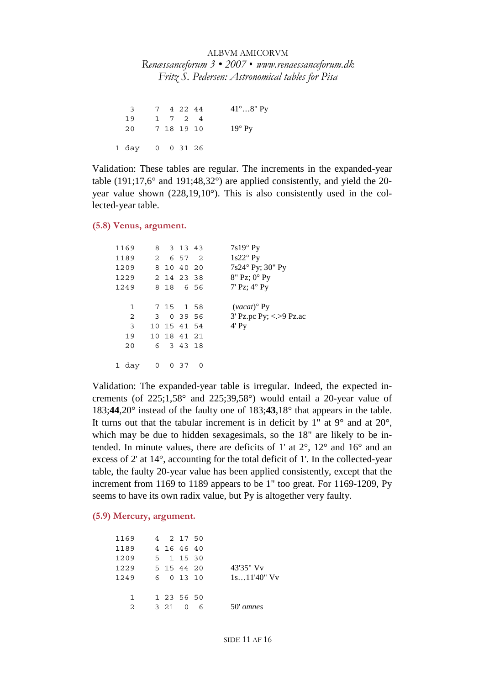ALBVM AMICORVM *Renæssanceforum 3 • 2007 • www.renaessanceforum.dk Fritz S. Pedersen: Astronomical tables for Pisa* 

 3 7 4 22 44 41°…8" Py 19 1 7 2 4 20 7 18 19 10 19° Py 1 day 0 0 31 26

Validation: These tables are regular. The increments in the expanded-year table (191;17,6° and 191;48,32°) are applied consistently, and yield the 20 year value shown (228,19,10°). This is also consistently used in the collected-year table.

**(5.8) Venus, argument.**

| 1169  |   | 8 3 13 43   |   | 7s19° Py                  |
|-------|---|-------------|---|---------------------------|
| 1189  |   | 2 6 57 2    |   | $1s22°$ Py                |
| 1209  |   | 8 10 40 20  |   | 7s24° Py; 30" Py          |
| 1229  |   | 2 14 23 38  |   | 8" Pz; 0° Py              |
| 1249  |   | 8 18 6 56   |   | 7' Pz; $4^{\circ}$ Py     |
|       |   |             |   |                           |
| 1     |   | 7 15 1 58   |   | $(vacat)$ <sup>o</sup> Py |
| 2     |   | 3 0 39 56   |   | $3'$ Pz.pc Py; <.>9 Pz.ac |
| 3     |   | 10 15 41 54 |   | $4'$ Py                   |
| 19    |   | 10 18 41 21 |   |                           |
| 20    |   | 6 3 4 3 1 8 |   |                           |
|       |   |             |   |                           |
| 1 day | 0 | 0 37        | 0 |                           |

Validation: The expanded-year table is irregular. Indeed, the expected increments (of  $225;1,58°$  and  $225;39,58°$ ) would entail a 20-year value of 183;**44**,20° instead of the faulty one of 183;**43**,18° that appears in the table. It turns out that the tabular increment is in deficit by 1" at  $9^{\circ}$  and at  $20^{\circ}$ , which may be due to hidden sexagesimals, so the 18" are likely to be intended. In minute values, there are deficits of 1' at 2°, 12° and 16° and an excess of 2' at 14°, accounting for the total deficit of 1'. In the collected-year table, the faulty 20-year value has been applied consistently, except that the increment from 1169 to 1189 appears to be 1" too great. For 1169-1209, Py seems to have its own radix value, but Py is altogether very faulty.

#### **(5.9) Mercury, argument.**

| 1169          | 4 2 1 7 5 0 |          |   |                       |
|---------------|-------------|----------|---|-----------------------|
| 1189          | 4 16 46 40  |          |   |                       |
| 1209          | 5 1 1 5 3 0 |          |   |                       |
| 1229          | 5 15 44 20  |          |   | 43'35" V <sub>v</sub> |
| 1249          | 6 0 13 10   |          |   | $1s11'40''$ Vy        |
|               |             |          |   |                       |
| $\mathbf{1}$  | 1 23 56 50  |          |   |                       |
| $\mathcal{L}$ | 3 2 1       | $\Omega$ | 6 | $50'$ omnes           |
|               |             |          |   |                       |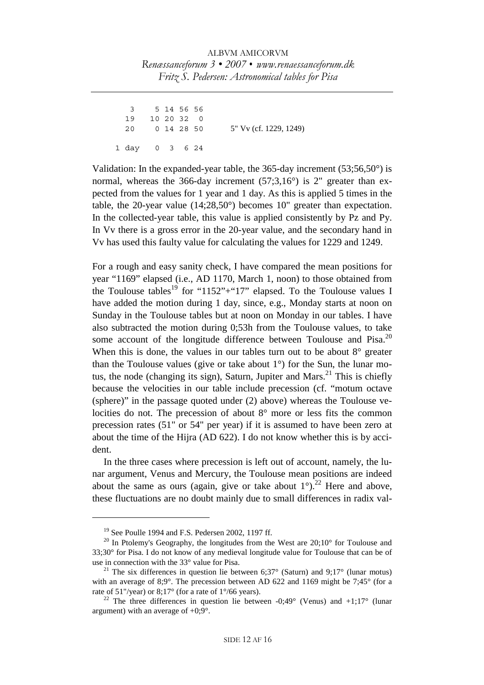3 5 14 56 56 19 10 20 32 0 20 0 14 28 50 5" Vv (cf. 1229, 1249) 1 day 0 3 6 24

Validation: In the expanded-year table, the 365-day increment  $(53;56,50^{\circ})$  is normal, whereas the 366-day increment  $(57;3,16^{\circ})$  is 2" greater than expected from the values for 1 year and 1 day. As this is applied 5 times in the table, the 20-year value (14;28,50°) becomes 10" greater than expectation. In the collected-year table, this value is applied consistently by Pz and Py. In Vv there is a gross error in the 20-year value, and the secondary hand in Vv has used this faulty value for calculating the values for 1229 and 1249.

For a rough and easy sanity check, I have compared the mean positions for year "1169" elapsed (i.e., AD 1170, March 1, noon) to those obtained from the Toulouse tables<sup>19</sup> for "1152"+"17" elapsed. To the Toulouse values I have added the motion during 1 day, since, e.g., Monday starts at noon on Sunday in the Toulouse tables but at noon on Monday in our tables. I have also subtracted the motion during 0;53h from the Toulouse values, to take some account of the longitude difference between Toulouse and Pisa. $^{20}$ When this is done, the values in our tables turn out to be about  $8^\circ$  greater than the Toulouse values (give or take about 1°) for the Sun, the lunar motus, the node (changing its sign), Saturn, Jupiter and Mars.<sup>21</sup> This is chiefly because the velocities in our table include precession (cf. "motum octave (sphere)" in the passage quoted under (2) above) whereas the Toulouse velocities do not. The precession of about 8° more or less fits the common precession rates (51" or 54" per year) if it is assumed to have been zero at about the time of the Hijra (AD 622). I do not know whether this is by accident.

In the three cases where precession is left out of account, namely, the lunar argument, Venus and Mercury, the Toulouse mean positions are indeed about the same as ours (again, give or take about  $1^{\circ}$ ).<sup>22</sup> Here and above, these fluctuations are no doubt mainly due to small differences in radix val-

<sup>19</sup> See Poulle 1994 and F.S. Pedersen 2002, 1197 ff.

 $20$  In Ptolemy's Geography, the longitudes from the West are  $20;10^{\circ}$  for Toulouse and 33;30° for Pisa. I do not know of any medieval longitude value for Toulouse that can be of use in connection with the 33° value for Pisa.<br><sup>21</sup> The six differences in question lie between 6;37° (Saturn) and 9;17° (lunar motus)

with an average of 8;9°. The precession between AD 622 and 1169 might be 7;45° (for a rate of 51"/year) or 8;17° (for a rate of 1°/66 years).<br><sup>22</sup> The three differences in question lie between -0:49° (Venus) and +1:17° (lunar

argument) with an average of  $+0.9^{\circ}$ .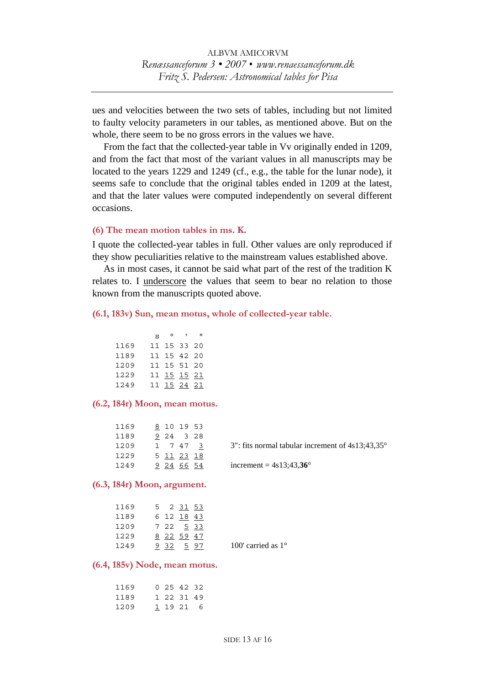ues and velocities between the two sets of tables, including but not limited to faulty velocity parameters in our tables, as mentioned above. But on the whole, there seem to be no gross errors in the values we have.

From the fact that the collected-year table in Vv originally ended in 1209, and from the fact that most of the variant values in all manuscripts may be located to the years 1229 and 1249 (cf., e.g., the table for the lunar node), it seems safe to conclude that the original tables ended in 1209 at the latest, and that the later values were computed independently on several different occasions.

## **(6) The mean motion tables in ms. K.**

I quote the collected-year tables in full. Other values are only reproduced if they show peculiarities relative to the mainstream values established above.

As in most cases, it cannot be said what part of the rest of the tradition K relates to. I underscore the values that seem to bear no relation to those known from the manuscripts quoted above.

#### **(6.1, 183v) Sun, mean motus, whole of collected-year table.**

|      | $S^{\circ}$ $\circ$ $\qquad$ | п |
|------|------------------------------|---|
| 1169 | 11 15 33 20                  |   |
| 1189 | 11 15 42 20                  |   |
| 1209 | 11 15 51 20                  |   |
| 1229 | 11 15 15 21                  |   |
| 1249 | 11 15 24 21                  |   |

#### **(6.2, 184r) Moon, mean motus.**

| 1169 | 8 10 19 53 |                                                           |
|------|------------|-----------------------------------------------------------|
| 1189 | 9 24 3 28  |                                                           |
| 1209 | 1 7 4 7 3  | 3": fits normal tabular increment of $4s13:43.35^{\circ}$ |
| 1229 | 5 11 23 18 |                                                           |
| 1249 | 9 24 66 54 | increment = $4s13;43,36^{\circ}$                          |
|      |            |                                                           |

#### **(6.3, 184r) Moon, argument.**

| 1169 | 5. | 2 31 53           |  |
|------|----|-------------------|--|
| 1189 |    | 6 12 <u>18</u> 43 |  |
| 1209 |    | 7 22 5 33         |  |
| 1229 |    | 8 22 59 47        |  |
| 1249 |    | <u>932 597</u>    |  |

100' carried as  $1^\circ$ 

## **(6.4, 185v) Node, mean motus.**

| 1169 |  | 0, 25, 42, 32 |  |
|------|--|---------------|--|
| 1189 |  | 1 22 31 49    |  |
| 1209 |  | 1 19 21 6     |  |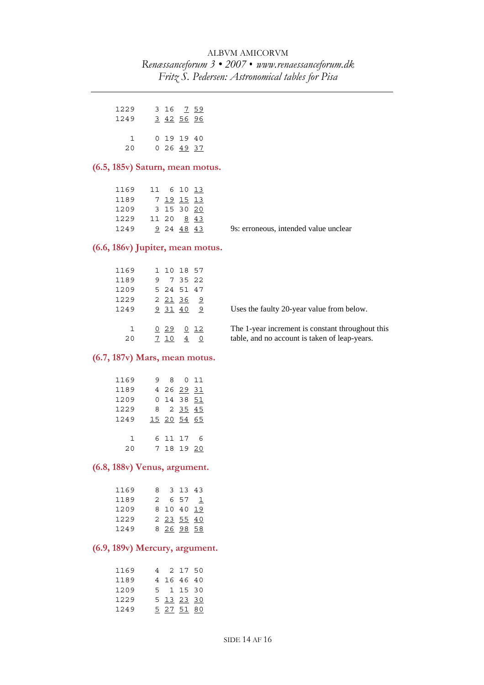| 1229 | 3 16 7 59  |
|------|------------|
| 1249 | 3 42 56 96 |
|      |            |
| 1.   | 0191940    |
| 20   | 0 26 49 37 |

# **(6.5, 185v) Saturn, mean motus.**

|                                       |  |            | 1169 11 6 10 13 |      |
|---------------------------------------|--|------------|-----------------|------|
|                                       |  | 7 19 15 13 |                 | 1189 |
|                                       |  |            | 1209 3 15 30 20 |      |
|                                       |  |            | 11 20 8 43      | 1229 |
| 9s: erroneous, intended value unclear |  | 9 24 48 43 |                 | 1249 |
|                                       |  |            |                 |      |

# **(6.6, 186v) Jupiter, mean motus.**

| 1169               |       | 1 10 18 57     |                                                                                                   |
|--------------------|-------|----------------|---------------------------------------------------------------------------------------------------|
| 1189               |       | 9 7 35 22      |                                                                                                   |
| 1209               |       | 5 24 51 47     |                                                                                                   |
| 1229               |       | 2 2 1 3 6 9    |                                                                                                   |
| 1249               |       | 9 31 40 9      | Uses the faulty 20-year value from below.                                                         |
| $\mathbf{1}$<br>20 | 0 2 9 | 0 12<br>4<br>0 | The 1-year increment is constant throughout this<br>table, and no account is taken of leap-years. |

## **(6.7, 187v) Mars, mean motus.**

| 1169         |   | 8.      |             | 0 11 |
|--------------|---|---------|-------------|------|
| 1189         |   |         | 4 26 29 31  |      |
| 1209         |   |         | 0 14 38 51  |      |
| 1229         | 8 |         | 2 35 45     |      |
| 1249         |   |         | 15 20 54 65 |      |
|              |   |         |             |      |
| $\mathbf{1}$ |   | 6 11 17 |             | 6    |
| 20           |   |         | 7 18 19 20  |      |
|              |   |         |             |      |

## **(6.8, 188v) Venus, argument.**

| 1169 | 8. |                    | 3 13 43 |     |  |
|------|----|--------------------|---------|-----|--|
| 1189 | 2. |                    | 657     | - 1 |  |
| 1209 |    | 8 10 40 19         |         |     |  |
| 1229 |    | $2$ $23$ $55$ $40$ |         |     |  |
| 1249 |    | 8 26 98 58         |         |     |  |

# **(6.9, 189v) Mercury, argument.**

| 1169 | 4 |             | 2 17 50 |  |
|------|---|-------------|---------|--|
| 1189 |   | 4 16 46 40  |         |  |
| 1209 |   | 5 1 1 5 3 0 |         |  |
| 1229 |   | 5 13 23 30  |         |  |
| 1249 |   | 5 27 51 80  |         |  |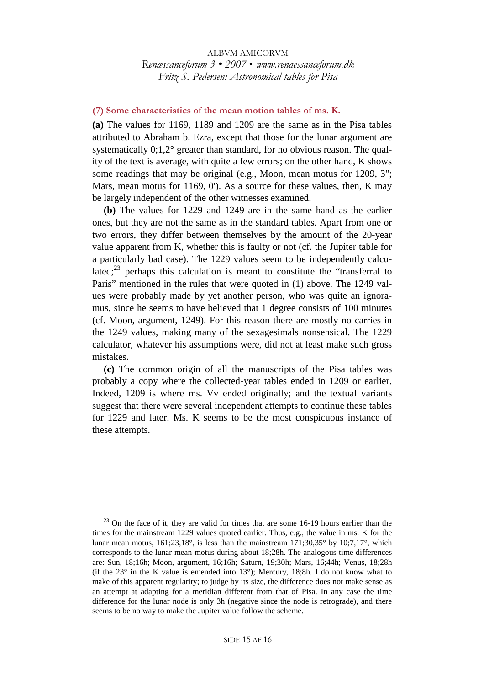## **(7) Some characteristics of the mean motion tables of ms. K.**

**(a)** The values for 1169, 1189 and 1209 are the same as in the Pisa tables attributed to Abraham b. Ezra, except that those for the lunar argument are systematically  $0;1,2^{\circ}$  greater than standard, for no obvious reason. The quality of the text is average, with quite a few errors; on the other hand, K shows some readings that may be original (e.g., Moon, mean motus for 1209, 3"; Mars, mean motus for 1169, 0'). As a source for these values, then, K may be largely independent of the other witnesses examined.

**(b)** The values for 1229 and 1249 are in the same hand as the earlier ones, but they are not the same as in the standard tables. Apart from one or two errors, they differ between themselves by the amount of the 20-year value apparent from K, whether this is faulty or not (cf. the Jupiter table for a particularly bad case). The 1229 values seem to be independently calculated; $^{23}$  perhaps this calculation is meant to constitute the "transferral to Paris" mentioned in the rules that were quoted in (1) above. The 1249 values were probably made by yet another person, who was quite an ignoramus, since he seems to have believed that 1 degree consists of 100 minutes (cf. Moon, argument, 1249). For this reason there are mostly no carries in the 1249 values, making many of the sexagesimals nonsensical. The 1229 calculator, whatever his assumptions were, did not at least make such gross mistakes.

**(c)** The common origin of all the manuscripts of the Pisa tables was probably a copy where the collected-year tables ended in 1209 or earlier. Indeed, 1209 is where ms. Vv ended originally; and the textual variants suggest that there were several independent attempts to continue these tables for 1229 and later. Ms. K seems to be the most conspicuous instance of these attempts.

 $23$  On the face of it, they are valid for times that are some 16-19 hours earlier than the times for the mainstream 1229 values quoted earlier. Thus, e.g., the value in ms. K for the lunar mean motus, 161;23,18°, is less than the mainstream 171;30,35° by 10;7,17°, which corresponds to the lunar mean motus during about 18;28h. The analogous time differences are: Sun, 18;16h; Moon, argument, 16;16h; Saturn, 19;30h; Mars, 16;44h; Venus, 18;28h (if the  $23^\circ$  in the K value is emended into  $13^\circ$ ); Mercury, 18;8h. I do not know what to make of this apparent regularity; to judge by its size, the difference does not make sense as an attempt at adapting for a meridian different from that of Pisa. In any case the time difference for the lunar node is only 3h (negative since the node is retrograde), and there seems to be no way to make the Jupiter value follow the scheme.